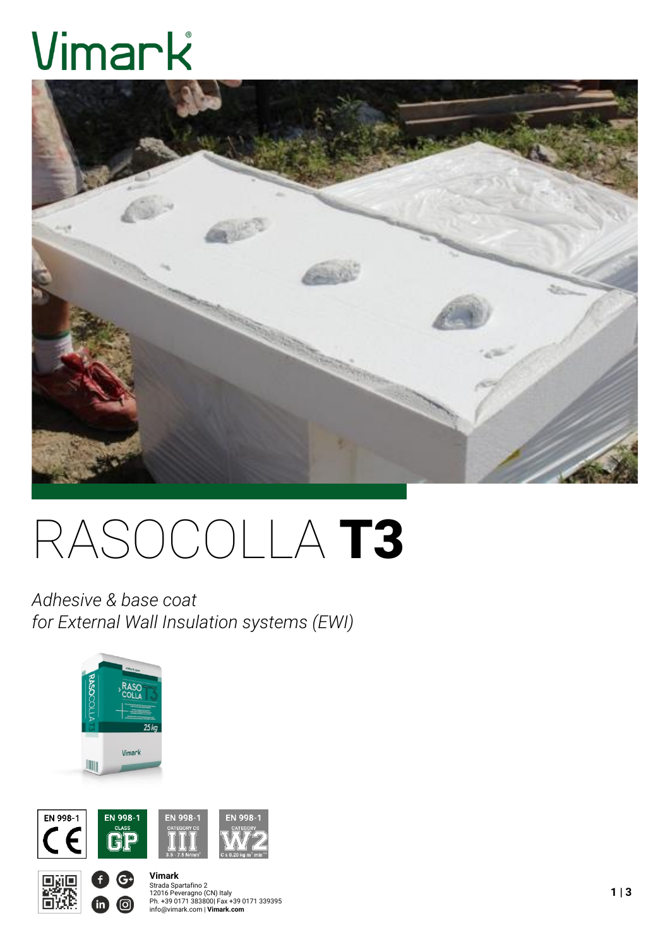# Vimark



# RASOCOLLA T3

*Adhesive & base coat for External Wall Insulation systems (EWI)*



 $\mathbf{G}$ 

<u>ල)</u>





## **Vimark** Strada Spartafino 2<br>12016 Peveragno (CN) Italy<br>Ph. +39 0171 383800| Fax +39 0171 339395<br>info@vimark.com | **Vimark.com**

**1 | 3**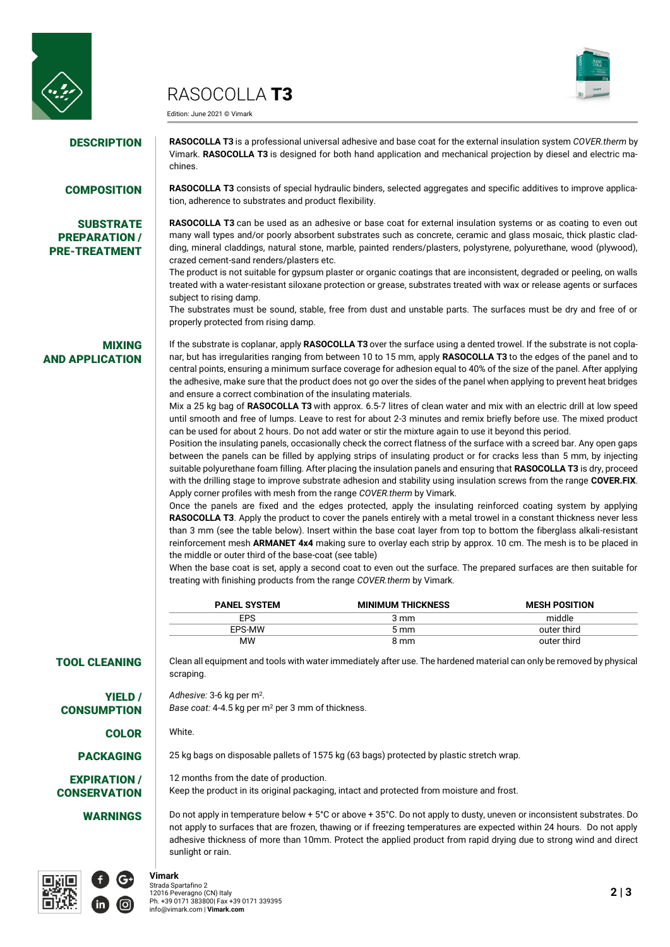

## RASOCOLLA **T3**



Edition: June 2021 © Vimark

**DESCRIPTION RASOCOLLA T3** is a professional universal adhesive and base coat for the external insulation system *COVER*.therm by Vimark. **RASOCOLLA T3** is designed for both hand application and mechanical projection by diesel and electric machines.

## **SUBSTRATE** PREPARATION / PRE-TREATMENT

COMPOSITION **RASOCOLLA T3** consists of special hydraulic binders, selected aggregates and specific additives to improve application, adherence to substrates and product flexibility.

> **RASOCOLLA T3** can be used as an adhesive or base coat for external insulation systems or as coating to even out many wall types and/or poorly absorbent substrates such as concrete, ceramic and glass mosaic, thick plastic cladding, mineral claddings, natural stone, marble, painted renders/plasters, polystyrene, polyurethane, wood (plywood), crazed cement-sand renders/plasters etc.

> The product is not suitable for gypsum plaster or organic coatings that are inconsistent, degraded or peeling, on walls treated with a water-resistant siloxane protection or grease, substrates treated with wax or release agents or surfaces subject to rising damp.

> The substrates must be sound, stable, free from dust and unstable parts. The surfaces must be dry and free of or properly protected from rising damp.

## MIXING AND APPLICATION

If the substrate is coplanar, apply **RASOCOLLA T3** over the surface using a dented trowel. If the substrate is not coplanar, but has irregularities ranging from between 10 to 15 mm, apply **RASOCOLLA T3** to the edges of the panel and to central points, ensuring a minimum surface coverage for adhesion equal to 40% of the size of the panel. After applying the adhesive, make sure that the product does not go over the sides of the panel when applying to prevent heat bridges and ensure a correct combination of the insulating materials.

Mix a 25 kg bag of **RASOCOLLA T3** with approx. 6.5-7 litres of clean water and mix with an electric drill at low speed until smooth and free of lumps. Leave to rest for about 2-3 minutes and remix briefly before use. The mixed product can be used for about 2 hours. Do not add water or stir the mixture again to use it beyond this period.

Position the insulating panels, occasionally check the correct flatness of the surface with a screed bar. Any open gaps between the panels can be filled by applying strips of insulating product or for cracks less than 5 mm, by injecting suitable polyurethane foam filling. After placing the insulation panels and ensuring that **RASOCOLLA T3** is dry, proceed with the drilling stage to improve substrate adhesion and stability using insulation screws from the range **COVER.FIX**. Apply corner profiles with mesh from the range *COVER.therm* by Vimark.

Once the panels are fixed and the edges protected, apply the insulating reinforced coating system by applying **RASOCOLLA T3**. Apply the product to cover the panels entirely with a metal trowel in a constant thickness never less than 3 mm (see the table below). Insert within the base coat layer from top to bottom the fiberglass alkali-resistant reinforcement mesh **ARMANET 4x4** making sure to overlay each strip by approx. 10 cm. The mesh is to be placed in the middle or outer third of the base-coat (see table)

When the base coat is set, apply a second coat to even out the surface. The prepared surfaces are then suitable for treating with finishing products from the range *COVER.therm* by Vimark.

| <b>PANEL SYSTEM</b> | <b>MINIMUM THICKNESS</b> | <b>MESH POSITION</b> |
|---------------------|--------------------------|----------------------|
| EPS                 | 3 mm                     | middle               |
| EPS-MW              | $5 \text{ mm}$           | outer third          |
| MW                  | 8 mm                     | outer third          |

## TOOL CLEANING Clean all equipment and tools with water immediately after use. The hardened material can only be removed by physical

YIELD / **CONSUMPTION** 

EXPIRATION / **CONSERVATION** 

Adhesive: 3-6 kg per m<sup>2</sup>.

*Base coat:* 4-4.5 kg per m<sup>2</sup> per 3 mm of thickness.

COLOR White.

scraping.

**PACKAGING** 25 kg bags on disposable pallets of 1575 kg (63 bags) protected by plastic stretch wrap.

12 months from the date of production. Keep the product in its original packaging, intact and protected from moisture and frost.

WARNINGS **Do not apply in temperature below + 5°C** or above + 35°C. Do not apply to dusty, uneven or inconsistent substrates. Do not apply to surfaces that are frozen, thawing or if freezing temperatures are expected within 24 hours. Do not apply adhesive thickness of more than 10mm. Protect the applied product from rapid drying due to strong wind and direct sunlight or rain.



**Vimark**